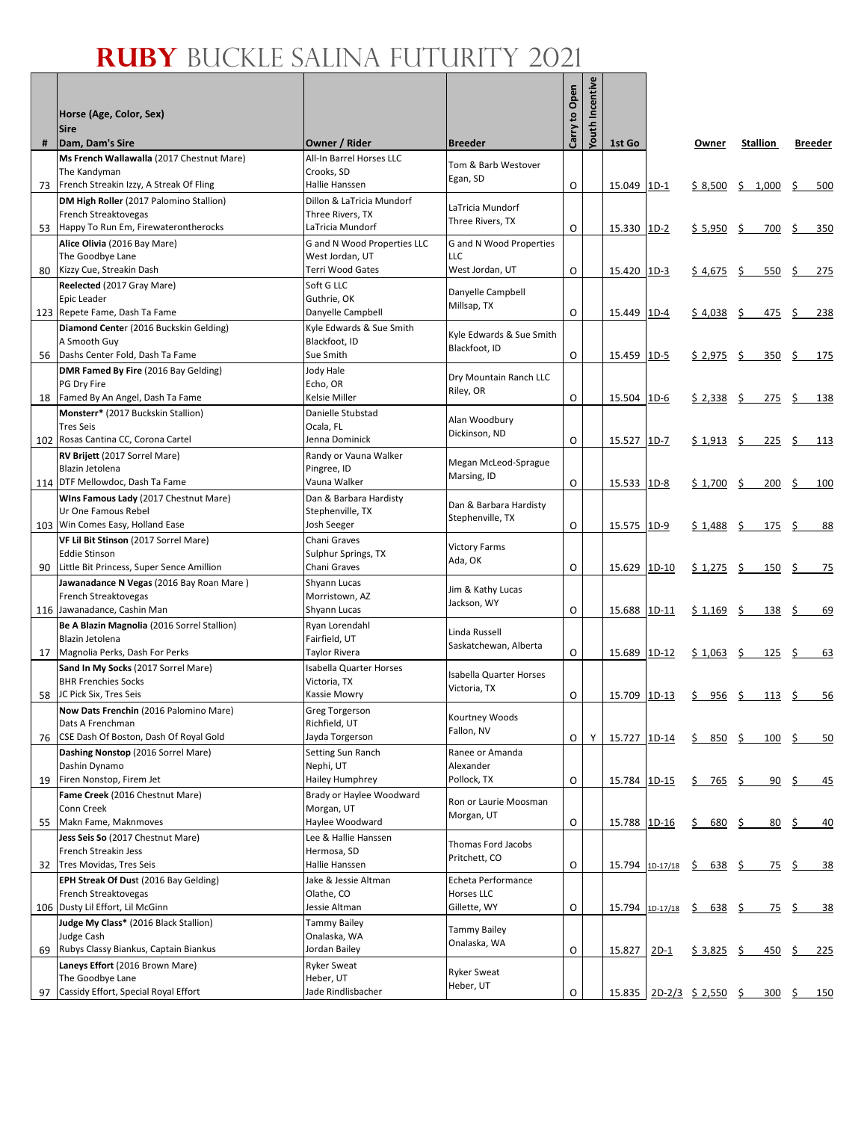Г

| #  | Horse (Age, Color, Sex)<br><b>Sire</b><br>Dam, Dam's Sire                  | Owner / Rider                        | <b>Breeder</b>                             | Carry to Open | Incentive<br>Youth | 1st Go       |                      | Owner                     |         | Stallion          |           | <b>Breeder</b> |
|----|----------------------------------------------------------------------------|--------------------------------------|--------------------------------------------|---------------|--------------------|--------------|----------------------|---------------------------|---------|-------------------|-----------|----------------|
|    | Ms French Wallawalla (2017 Chestnut Mare)                                  | All-In Barrel Horses LLC             |                                            |               |                    |              |                      |                           |         |                   |           |                |
|    | The Kandyman                                                               | Crooks. SD                           | Tom & Barb Westover<br>Egan, SD            |               |                    |              |                      |                           |         |                   |           |                |
| 73 | French Streakin Izzy, A Streak Of Fling                                    | Hallie Hanssen                       |                                            | O             |                    | 15.049       | $1D-1$               | \$8,500                   | \$1,000 |                   | \$        | 500            |
|    | DM High Roller (2017 Palomino Stallion)                                    | Dillon & LaTricia Mundorf            | LaTricia Mundorf                           |               |                    |              |                      |                           |         |                   |           |                |
|    | French Streaktovegas<br>53 Happy To Run Em, Firewaterontherocks            | Three Rivers, TX<br>LaTricia Mundorf | Three Rivers, TX                           | O             |                    | 15.330       | $1D-2$               | $$5,950$ \$               |         | 700               | <u>\$</u> | 350            |
|    | Alice Olivia (2016 Bay Mare)                                               | G and N Wood Properties LLC          | G and N Wood Properties                    |               |                    |              |                      |                           |         |                   |           |                |
|    | The Goodbye Lane                                                           | West Jordan, UT                      | LLC                                        |               |                    |              |                      |                           |         |                   |           |                |
| 80 | Kizzy Cue, Streakin Dash                                                   | Terri Wood Gates                     | West Jordan, UT                            | O             |                    | 15.420       | $1D-3$               | $$4,675$ \$               |         | 550               | <u>\$</u> | 275            |
|    | Reelected (2017 Gray Mare)                                                 | Soft G LLC                           | Danyelle Campbell                          |               |                    |              |                      |                           |         |                   |           |                |
|    | Epic Leader<br>123 Repete Fame, Dash Ta Fame                               | Guthrie, OK<br>Danyelle Campbell     | Millsap, TX                                | O             |                    | 15.449       | $1D-4$               | $$4,038$ \$               |         | <u>475 \$</u>     |           | 238            |
|    | Diamond Center (2016 Buckskin Gelding)                                     | Kyle Edwards & Sue Smith             |                                            |               |                    |              |                      |                           |         |                   |           |                |
|    | A Smooth Guy                                                               | Blackfoot, ID                        | Kyle Edwards & Sue Smith<br>Blackfoot, ID  |               |                    |              |                      |                           |         |                   |           |                |
| 56 | Dashs Center Fold, Dash Ta Fame                                            | Sue Smith                            |                                            | O             |                    | 15.459       | $1D-5$               | $$2,975$ \$               |         | 350               | <u>\$</u> | 175            |
|    | DMR Famed By Fire (2016 Bay Gelding)<br>PG Dry Fire                        | Jody Hale<br>Echo, OR                | Dry Mountain Ranch LLC                     |               |                    |              |                      |                           |         |                   |           |                |
|    | 18 Famed By An Angel, Dash Ta Fame                                         | Kelsie Miller                        | Riley, OR                                  | O             |                    | 15.504       | $1D-6$               | $$2,338$ \$               |         | 275S              |           | 138            |
|    | Monsterr* (2017 Buckskin Stallion)                                         | Danielle Stubstad                    |                                            |               |                    |              |                      |                           |         |                   |           |                |
|    | <b>Tres Seis</b>                                                           | Ocala, FL                            | Alan Woodbury<br>Dickinson, ND             |               |                    |              |                      |                           |         |                   |           |                |
|    | 102 Rosas Cantina CC, Corona Cartel                                        | Jenna Dominick                       |                                            | O             |                    | 15.527       | $1D-7$               | $$1,913$ \$               |         | $225 \frac{2}{3}$ |           | 113            |
|    | RV Brijett (2017 Sorrel Mare)<br>Blazin Jetolena                           | Randy or Vauna Walker<br>Pingree, ID | Megan McLeod-Sprague                       |               |                    |              |                      |                           |         |                   |           |                |
|    | 114   DTF Mellowdoc, Dash Ta Fame                                          | Vauna Walker                         | Marsing, ID                                | O             |                    | 15.533       | $1D-8$               | $$1,700$ \$               |         | 200               | \$        | 100            |
|    | Wins Famous Lady (2017 Chestnut Mare)                                      | Dan & Barbara Hardisty               |                                            |               |                    |              |                      |                           |         |                   |           |                |
|    | Ur One Famous Rebel                                                        | Stephenville, TX                     | Dan & Barbara Hardisty<br>Stephenville, TX |               |                    |              |                      |                           |         |                   |           |                |
|    | 103 Win Comes Easy, Holland Ease                                           | Josh Seeger                          |                                            | O             |                    | 15.575       | $1D-9$               | $$1,488$ \$               |         | 175               | \$        | 88             |
|    | VF Lil Bit Stinson (2017 Sorrel Mare)<br><b>Eddie Stinson</b>              | Chani Graves<br>Sulphur Springs, TX  | <b>Victory Farms</b>                       |               |                    |              |                      |                           |         |                   |           |                |
| 90 | Little Bit Princess, Super Sence Amillion                                  | Chani Graves                         | Ada, OK                                    | O             |                    | 15.629       | $1D-10$              | $$1,275$ \$               |         | 150 \$            |           | -75            |
|    | Jawanadance N Vegas (2016 Bay Roan Mare)                                   | Shyann Lucas                         | Jim & Kathy Lucas                          |               |                    |              |                      |                           |         |                   |           |                |
|    | French Streaktovegas                                                       | Morristown, AZ                       | Jackson, WY                                |               |                    |              |                      |                           |         |                   |           |                |
|    | 116 Jawanadance, Cashin Man<br>Be A Blazin Magnolia (2016 Sorrel Stallion) | Shyann Lucas<br>Ryan Lorendahl       |                                            | O             |                    | 15.688       | 1D-11                | $$1,169$ \$               |         | 138               | -\$       | 69             |
|    | Blazin Jetolena                                                            | Fairfield, UT                        | Linda Russell                              |               |                    |              |                      |                           |         |                   |           |                |
|    | 17   Magnolia Perks, Dash For Perks                                        | <b>Taylor Rivera</b>                 | Saskatchewan, Alberta                      | O             |                    | 15.689       | $1D-12$              | $$1,063$ \$               |         | 125 \$            |           | 63             |
|    | Sand In My Socks (2017 Sorrel Mare)                                        | <b>Isabella Quarter Horses</b>       | Isabella Quarter Horses                    |               |                    |              |                      |                           |         |                   |           |                |
| 58 | <b>BHR Frenchies Socks</b><br>JC Pick Six, Tres Seis                       | Victoria, TX<br>Kassie Mowry         | Victoria, TX                               | O             |                    | 15.709       | $1D-13$              | $\frac{956}{ }$ \$<br>\$. |         | <u>113 \$</u>     |           | 56             |
|    | Now Dats Frenchin (2016 Palomino Mare)                                     | <b>Greg Torgerson</b>                |                                            |               |                    |              |                      |                           |         |                   |           |                |
|    | Dats A Frenchman                                                           | Richfield, UT                        | Kourtney Woods<br>Fallon, NV               |               |                    |              |                      |                           |         |                   |           |                |
| 76 | CSE Dash Of Boston, Dash Of Royal Gold                                     | Jayda Torgerson                      |                                            | O             | Υ                  | 15.727       | $1D-14$              | \$<br>$850 \;$ \$         |         | 100               | S         | 50             |
|    | Dashing Nonstop (2016 Sorrel Mare)<br>Dashin Dynamo                        | Setting Sun Ranch                    | Ranee or Amanda                            |               |                    |              |                      |                           |         |                   |           |                |
| 19 | Firen Nonstop, Firem Jet                                                   | Nephi, UT<br><b>Hailey Humphrey</b>  | Alexander<br>Pollock, TX                   | O             |                    | 15.784 1D-15 |                      | $$765$ \$                 |         | <u>90\$</u>       |           | <u>45</u>      |
|    | Fame Creek (2016 Chestnut Mare)                                            | Brady or Haylee Woodward             |                                            |               |                    |              |                      |                           |         |                   |           |                |
|    | Conn Creek                                                                 | Morgan, UT                           | Ron or Laurie Moosman<br>Morgan, UT        |               |                    |              |                      |                           |         |                   |           |                |
| 55 | Makn Fame, Maknmoves                                                       | Haylee Woodward                      |                                            | $\mathsf O$   |                    | 15.788 1D-16 |                      | 680, 5<br>\$              |         | 80                | <u>s</u>  | 40             |
|    | Jess Seis So (2017 Chestnut Mare)<br>French Streakin Jess                  | Lee & Hallie Hanssen<br>Hermosa, SD  | Thomas Ford Jacobs                         |               |                    |              |                      |                           |         |                   |           |                |
| 32 | Tres Movidas, Tres Seis                                                    | Hallie Hanssen                       | Pritchett, CO                              | O             |                    |              | $15.794$ 1D-17/18 \$ | $\frac{638}{ }$ \$        |         | <u>75 \$</u>      |           | <u>38</u>      |
|    | EPH Streak Of Dust (2016 Bay Gelding)                                      | Jake & Jessie Altman                 | Echeta Performance                         |               |                    |              |                      |                           |         |                   |           |                |
|    | French Streaktovegas                                                       | Olathe, CO                           | Horses LLC                                 |               |                    |              |                      |                           |         |                   |           |                |
|    | 106 Dusty Lil Effort, Lil McGinn                                           | Jessie Altman                        | Gillette, WY                               | O             |                    | 15.794       | $1D-17/18$           | \$638\$                   |         | <u>75\$</u>       |           | <u>38</u>      |
|    | Judge My Class* (2016 Black Stallion)<br>Judge Cash                        | <b>Tammy Bailey</b><br>Onalaska, WA  | <b>Tammy Bailey</b>                        |               |                    |              |                      |                           |         |                   |           |                |
| 69 | Rubys Classy Biankus, Captain Biankus                                      | Jordan Bailey                        | Onalaska, WA                               | O             |                    | 15.827       | $2D-1$               | $$3,825$ \$               |         | $\frac{450}{5}$   |           | 225            |
|    | Laneys Effort (2016 Brown Mare)                                            | <b>Ryker Sweat</b>                   | <b>Ryker Sweat</b>                         |               |                    |              |                      |                           |         |                   |           |                |
| 97 | The Goodbye Lane<br>Cassidy Effort, Special Royal Effort                   | Heber, UT<br>Jade Rindlisbacher      | Heber, UT                                  | $\mathsf O$   |                    | 15.835       |                      | $2D-2/3$ \$ 2,550 \$      |         | $300 \frac{5}{5}$ |           | 150            |
|    |                                                                            |                                      |                                            |               |                    |              |                      |                           |         |                   |           |                |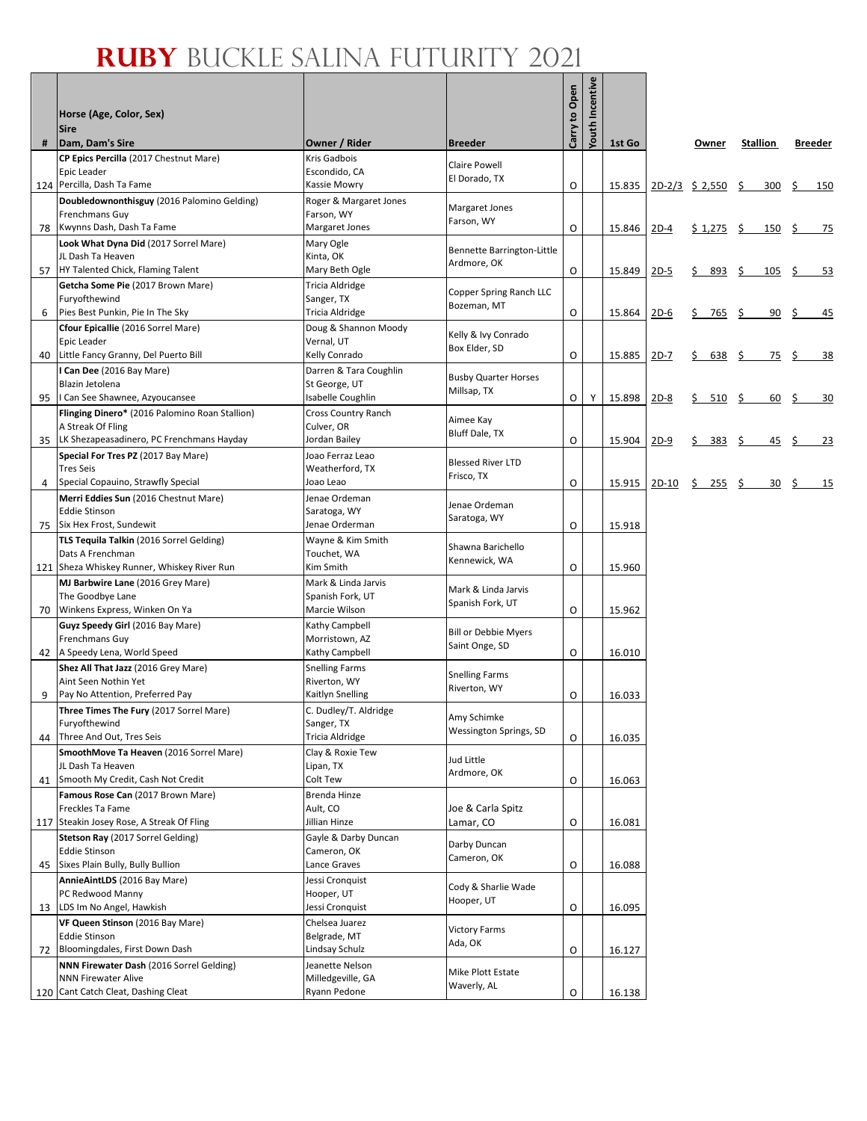# **RUBY** BUCKLE SALINA FUTURITY 2021

| #   | Horse (Age, Color, Sex)<br><b>Sire</b><br>Dam, Dam's Sire              | Owner / Rider                           | <b>Breeder</b>                          | Carry to Open | Incentive<br>Youth | 1st Go |        | Owner             | <b>Stallion</b> |    | <b>Breeder</b> |
|-----|------------------------------------------------------------------------|-----------------------------------------|-----------------------------------------|---------------|--------------------|--------|--------|-------------------|-----------------|----|----------------|
|     | CP Epics Percilla (2017 Chestnut Mare)                                 | Kris Gadbois                            | <b>Claire Powell</b>                    |               |                    |        |        |                   |                 |    |                |
|     | Epic Leader                                                            | Escondido, CA                           | El Dorado, TX                           |               |                    |        |        |                   |                 |    |                |
| 124 | Percilla, Dash Ta Fame<br>Doubledownonthisguy (2016 Palomino Gelding)  | Kassie Mowry<br>Roger & Margaret Jones  |                                         | O             |                    | 15.835 |        | $2D-2/3$ \$ 2,550 | \$<br>300       | \$ | 150            |
|     | Frenchmans Guy                                                         | Farson, WY                              | Margaret Jones                          |               |                    |        |        |                   |                 |    |                |
| 78  | Kwynns Dash, Dash Ta Fame                                              | Margaret Jones                          | Farson, WY                              | O             |                    | 15.846 | $2D-4$ | $$1,275$ \$       | 150             | \$ | 75             |
|     | Look What Dyna Did (2017 Sorrel Mare)<br>JL Dash Ta Heaven             | Mary Ogle<br>Kinta, OK                  | Bennette Barrington-Little              |               |                    |        |        |                   |                 |    |                |
| 57  | HY Talented Chick, Flaming Talent                                      | Mary Beth Ogle                          | Ardmore, OK                             | O             |                    | 15.849 | $2D-5$ | 893<br>\$         | \$<br>105       | S  | 53             |
|     | Getcha Some Pie (2017 Brown Mare)                                      | Tricia Aldridge                         | Copper Spring Ranch LLC                 |               |                    |        |        |                   |                 |    |                |
|     | Furyofthewind<br>Pies Best Punkin, Pie In The Sky                      | Sanger, TX<br>Tricia Aldridge           | Bozeman, MT                             | O             |                    |        |        |                   |                 |    |                |
| 6   | Cfour Epicallie (2016 Sorrel Mare)                                     | Doug & Shannon Moody                    |                                         |               |                    | 15.864 | $2D-6$ | \$.<br>765        | \$<br>90        | S  | 45             |
|     | Epic Leader                                                            | Vernal, UT                              | Kelly & Ivy Conrado<br>Box Elder, SD    |               |                    |        |        |                   |                 |    |                |
| 40  | Little Fancy Granny, Del Puerto Bill                                   | Kelly Conrado                           |                                         | O             |                    | 15.885 | $2D-7$ | \$<br>638         | \$<br>75        | S  | 38             |
|     | I Can Dee (2016 Bay Mare)<br>Blazin Jetolena                           | Darren & Tara Coughlin<br>St George, UT | <b>Busby Quarter Horses</b>             |               |                    |        |        |                   |                 |    |                |
| 95  | I Can See Shawnee, Azyoucansee                                         | Isabelle Coughlin                       | Millsap, TX                             | $\circ$       | Y                  | 15.898 | $2D-8$ | 510<br>\$.        | \$<br>60        | S  | 30             |
|     | Flinging Dinero* (2016 Palomino Roan Stallion)                         | Cross Country Ranch                     | Aimee Kay                               |               |                    |        |        |                   |                 |    |                |
| 35  | A Streak Of Fling<br>LK Shezapeasadinero, PC Frenchmans Hayday         | Culver, OR<br>Jordan Bailey             | <b>Bluff Dale, TX</b>                   | O             |                    | 15.904 | $2D-9$ | 383<br>\$         | \$<br>45        | S  | 23             |
|     | Special For Tres PZ (2017 Bay Mare)                                    | Joao Ferraz Leao                        |                                         |               |                    |        |        |                   |                 |    |                |
|     | <b>Tres Seis</b>                                                       | Weatherford, TX                         | <b>Blessed River LTD</b><br>Frisco, TX  |               |                    |        |        |                   |                 |    |                |
| 4   | Special Copauino, Strawfly Special                                     | Joao Leao                               |                                         | O             |                    | 15.915 | 2D-10  | $\frac{255}{2}$   | 30              | S. | 15             |
|     | Merri Eddies Sun (2016 Chestnut Mare)<br><b>Eddie Stinson</b>          | Jenae Ordeman<br>Saratoga, WY           | Jenae Ordeman                           |               |                    |        |        |                   |                 |    |                |
| 75  | Six Hex Frost, Sundewit                                                | Jenae Orderman                          | Saratoga, WY                            | O             |                    | 15.918 |        |                   |                 |    |                |
|     | TLS Tequila Talkin (2016 Sorrel Gelding)                               | Wayne & Kim Smith                       | Shawna Barichello                       |               |                    |        |        |                   |                 |    |                |
| 121 | Dats A Frenchman<br>Sheza Whiskey Runner, Whiskey River Run            | Touchet, WA<br>Kim Smith                | Kennewick, WA                           | O             |                    | 15.960 |        |                   |                 |    |                |
|     | MJ Barbwire Lane (2016 Grey Mare)                                      | Mark & Linda Jarvis                     |                                         |               |                    |        |        |                   |                 |    |                |
|     | The Goodbye Lane                                                       | Spanish Fork, UT                        | Mark & Linda Jarvis<br>Spanish Fork, UT |               |                    |        |        |                   |                 |    |                |
| 70  | Winkens Express, Winken On Ya<br>Guyz Speedy Girl (2016 Bay Mare)      | Marcie Wilson<br>Kathy Campbell         |                                         | O             |                    | 15.962 |        |                   |                 |    |                |
|     | Frenchmans Guy                                                         | Morristown, AZ                          | <b>Bill or Debbie Myers</b>             |               |                    |        |        |                   |                 |    |                |
| 42  | A Speedy Lena, World Speed                                             | Kathy Campbell                          | Saint Onge, SD                          | O             |                    | 16.010 |        |                   |                 |    |                |
|     | Shez All That Jazz (2016 Grey Mare)<br>Aint Seen Nothin Yet            | <b>Snelling Farms</b><br>Riverton, WY   | <b>Snelling Farms</b>                   |               |                    |        |        |                   |                 |    |                |
| 9   | Pay No Attention, Preferred Pay                                        | Kaitlyn Snelling                        | Riverton, WY                            | O             |                    | 16.033 |        |                   |                 |    |                |
|     | Three Times The Fury (2017 Sorrel Mare)                                | C. Dudley/T. Aldridge                   | Amy Schimke                             |               |                    |        |        |                   |                 |    |                |
| 44  | Furyofthewind<br>Three And Out, Tres Seis                              | Sanger, TX<br>Tricia Aldridge           | Wessington Springs, SD                  | O             |                    | 16.035 |        |                   |                 |    |                |
|     | SmoothMove Ta Heaven (2016 Sorrel Mare)                                | Clay & Roxie Tew                        |                                         |               |                    |        |        |                   |                 |    |                |
|     | JL Dash Ta Heaven                                                      | Lipan, TX                               | Jud Little<br>Ardmore, OK               |               |                    |        |        |                   |                 |    |                |
| 41  | Smooth My Credit, Cash Not Credit                                      | Colt Tew                                |                                         | O             |                    | 16.063 |        |                   |                 |    |                |
|     | Famous Rose Can (2017 Brown Mare)<br>Freckles Ta Fame                  | Brenda Hinze<br>Ault, CO                | Joe & Carla Spitz                       |               |                    |        |        |                   |                 |    |                |
| 117 | Steakin Josey Rose, A Streak Of Fling                                  | Jillian Hinze                           | Lamar, CO                               | O             |                    | 16.081 |        |                   |                 |    |                |
|     | Stetson Ray (2017 Sorrel Gelding)                                      | Gayle & Darby Duncan                    | Darby Duncan                            |               |                    |        |        |                   |                 |    |                |
| 45  | <b>Eddie Stinson</b><br>Sixes Plain Bully, Bully Bullion               | Cameron, OK<br>Lance Graves             | Cameron, OK                             | O             |                    | 16.088 |        |                   |                 |    |                |
|     | AnnieAintLDS (2016 Bay Mare)                                           | Jessi Cronquist                         | Cody & Sharlie Wade                     |               |                    |        |        |                   |                 |    |                |
|     | PC Redwood Manny                                                       | Hooper, UT                              | Hooper, UT                              |               |                    |        |        |                   |                 |    |                |
| 13  | LDS Im No Angel, Hawkish<br>VF Queen Stinson (2016 Bay Mare)           | Jessi Cronquist<br>Chelsea Juarez       |                                         | O             |                    | 16.095 |        |                   |                 |    |                |
|     | <b>Eddie Stinson</b>                                                   | Belgrade, MT                            | <b>Victory Farms</b>                    |               |                    |        |        |                   |                 |    |                |
| 72  | Bloomingdales, First Down Dash                                         | Lindsay Schulz                          | Ada, OK                                 | O             |                    | 16.127 |        |                   |                 |    |                |
|     | NNN Firewater Dash (2016 Sorrel Gelding)<br><b>NNN Firewater Alive</b> | Jeanette Nelson<br>Milledgeville, GA    | Mike Plott Estate                       |               |                    |        |        |                   |                 |    |                |
| 120 | Cant Catch Cleat, Dashing Cleat                                        | Ryann Pedone                            | Waverly, AL                             | O             |                    | 16.138 |        |                   |                 |    |                |
|     |                                                                        |                                         |                                         |               |                    |        |        |                   |                 |    |                |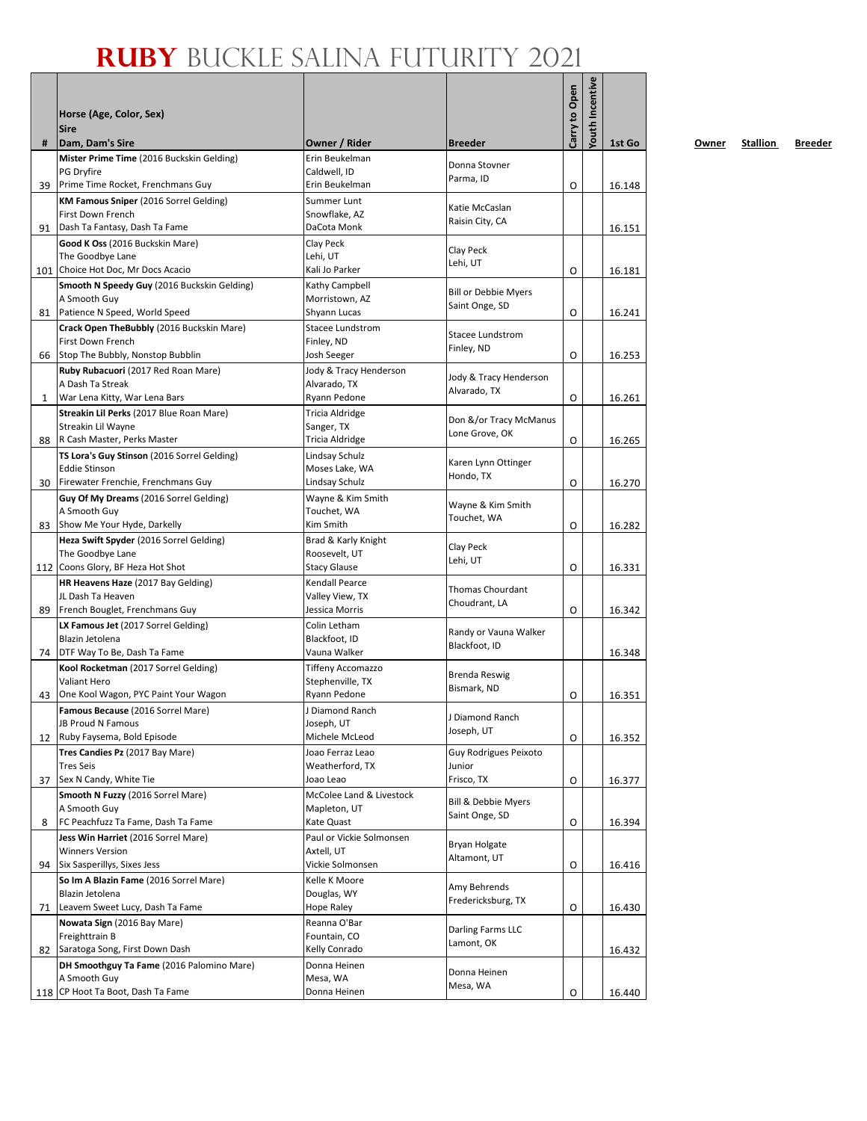|     | Horse (Age, Color, Sex)                                                      |                                          |                              | Carry to Open | Youth Incentive |        |
|-----|------------------------------------------------------------------------------|------------------------------------------|------------------------------|---------------|-----------------|--------|
|     | <b>Sire</b>                                                                  |                                          |                              |               |                 |        |
| #   | Dam, Dam's Sire                                                              | Owner / Rider                            | <b>Breeder</b>               |               |                 | 1st Go |
|     | Mister Prime Time (2016 Buckskin Gelding)<br>PG Dryfire                      | Erin Beukelman<br>Caldwell. ID           | Donna Stovner                |               |                 |        |
| 39  | Prime Time Rocket, Frenchmans Guy                                            | Erin Beukelman                           | Parma, ID                    | O             |                 | 16.148 |
|     | KM Famous Sniper (2016 Sorrel Gelding)                                       | Summer Lunt                              | Katie McCaslan               |               |                 |        |
|     | First Down French                                                            | Snowflake, AZ                            | Raisin City, CA              |               |                 |        |
| 91  | Dash Ta Fantasy, Dash Ta Fame                                                | DaCota Monk                              |                              |               |                 | 16.151 |
|     | Good K Oss (2016 Buckskin Mare)<br>The Goodbye Lane                          | Clay Peck<br>Lehi, UT                    | Clay Peck                    |               |                 |        |
| 101 | Choice Hot Doc, Mr Docs Acacio                                               | Kali Jo Parker                           | Lehi, UT                     | O             |                 | 16.181 |
|     | Smooth N Speedy Guy (2016 Buckskin Gelding)                                  | Kathy Campbell                           | <b>Bill or Debbie Myers</b>  |               |                 |        |
|     | A Smooth Guy                                                                 | Morristown, AZ                           | Saint Onge, SD               |               |                 |        |
| 81  | Patience N Speed, World Speed<br>Crack Open TheBubbly (2016 Buckskin Mare)   | Shyann Lucas<br>Stacee Lundstrom         |                              | O             |                 | 16.241 |
|     | First Down French                                                            | Finley, ND                               | <b>Stacee Lundstrom</b>      |               |                 |        |
| 66  | Stop The Bubbly, Nonstop Bubblin                                             | Josh Seeger                              | Finley, ND                   | O             |                 | 16.253 |
|     | Ruby Rubacuori (2017 Red Roan Mare)                                          | Jody & Tracy Henderson                   | Jody & Tracy Henderson       |               |                 |        |
|     | A Dash Ta Streak                                                             | Alvarado, TX                             | Alvarado, TX                 |               |                 |        |
| 1   | War Lena Kitty, War Lena Bars<br>Streakin Lil Perks (2017 Blue Roan Mare)    | Ryann Pedone<br><b>Tricia Aldridge</b>   |                              | O             |                 | 16.261 |
|     | Streakin Lil Wayne                                                           | Sanger, TX                               | Don &/or Tracy McManus       |               |                 |        |
| 88  | R Cash Master, Perks Master                                                  | Tricia Aldridge                          | Lone Grove, OK               | O             |                 | 16.265 |
|     | TS Lora's Guy Stinson (2016 Sorrel Gelding)                                  | Lindsay Schulz                           | Karen Lynn Ottinger          |               |                 |        |
|     | <b>Eddie Stinson</b>                                                         | Moses Lake, WA                           | Hondo, TX                    |               |                 |        |
| 30  | Firewater Frenchie, Frenchmans Guy<br>Guy Of My Dreams (2016 Sorrel Gelding) | Lindsay Schulz<br>Wayne & Kim Smith      |                              | O             |                 | 16.270 |
|     | A Smooth Guy                                                                 | Touchet, WA                              | Wayne & Kim Smith            |               |                 |        |
| 83  | Show Me Your Hyde, Darkelly                                                  | Kim Smith                                | Touchet, WA                  | O             |                 | 16.282 |
|     | Heza Swift Spyder (2016 Sorrel Gelding)                                      | Brad & Karly Knight                      | Clay Peck                    |               |                 |        |
|     | The Goodbye Lane<br>112 Coons Glory, BF Heza Hot Shot                        | Roosevelt, UT<br><b>Stacy Glause</b>     | Lehi, UT                     | O             |                 | 16.331 |
|     | HR Heavens Haze (2017 Bay Gelding)                                           | <b>Kendall Pearce</b>                    |                              |               |                 |        |
|     | JL Dash Ta Heaven                                                            | Valley View, TX                          | <b>Thomas Chourdant</b>      |               |                 |        |
| 89  | French Bouglet, Frenchmans Guy                                               | Jessica Morris                           | Choudrant, LA                | O             |                 | 16.342 |
|     | LX Famous Jet (2017 Sorrel Gelding)                                          | Colin Letham                             | Randy or Vauna Walker        |               |                 |        |
| 74  | Blazin Jetolena<br>DTF Way To Be, Dash Ta Fame                               | Blackfoot, ID<br>Vauna Walker            | Blackfoot, ID                |               |                 | 16.348 |
|     | Kool Rocketman (2017 Sorrel Gelding)                                         | <b>Tiffeny Accomazzo</b>                 |                              |               |                 |        |
|     | Valiant Hero                                                                 | Stephenville, TX                         | Brenda Reswig<br>Bismark, ND |               |                 |        |
| 43  | One Kool Wagon, PYC Paint Your Wagon                                         | Ryann Pedone                             |                              | O             |                 | 16.351 |
|     | Famous Because (2016 Sorrel Mare)<br>JB Proud N Famous                       | J Diamond Ranch<br>Joseph, UT            | J Diamond Ranch              |               |                 |        |
| 12  | Ruby Faysema, Bold Episode                                                   | Michele McLeod                           | Joseph, UT                   | O             |                 | 16.352 |
|     | Tres Candies Pz (2017 Bay Mare)                                              | Joao Ferraz Leao                         | Guy Rodrigues Peixoto        |               |                 |        |
|     | <b>Tres Seis</b>                                                             | Weatherford, TX                          | Junior                       |               |                 |        |
| 37  | Sex N Candy, White Tie                                                       | Joao Leao                                | Frisco, TX                   | O             |                 | 16.377 |
|     | Smooth N Fuzzy (2016 Sorrel Mare)<br>A Smooth Guy                            | McColee Land & Livestock<br>Mapleton, UT | Bill & Debbie Myers          |               |                 |        |
| 8   | FC Peachfuzz Ta Fame, Dash Ta Fame                                           | Kate Quast                               | Saint Onge, SD               | O             |                 | 16.394 |
|     | Jess Win Harriet (2016 Sorrel Mare)                                          | Paul or Vickie Solmonsen                 | Bryan Holgate                |               |                 |        |
|     | <b>Winners Version</b>                                                       | Axtell, UT                               | Altamont, UT                 |               |                 |        |
| 94  | Six Sasperillys, Sixes Jess<br>So Im A Blazin Fame (2016 Sorrel Mare)        | Vickie Solmonsen<br>Kelle K Moore        |                              | O             |                 | 16.416 |
|     | Blazin Jetolena                                                              | Douglas, WY                              | Amy Behrends                 |               |                 |        |
| 71  | Leavem Sweet Lucy, Dash Ta Fame                                              | Hope Raley                               | Fredericksburg, TX           | O             |                 | 16.430 |
|     | Nowata Sign (2016 Bay Mare)                                                  | Reanna O'Bar                             | Darling Farms LLC            |               |                 |        |
|     | Freighttrain B                                                               | Fountain, CO                             | Lamont, OK                   |               |                 |        |
| 82  | Saratoga Song, First Down Dash<br>DH Smoothguy Ta Fame (2016 Palomino Mare)  | Kelly Conrado<br>Donna Heinen            |                              |               |                 | 16.432 |
|     | A Smooth Guy                                                                 | Mesa, WA                                 | Donna Heinen                 |               |                 |        |
|     | 118 CP Hoot Ta Boot, Dash Ta Fame                                            | Donna Heinen                             | Mesa, WA                     | O             |                 | 16.440 |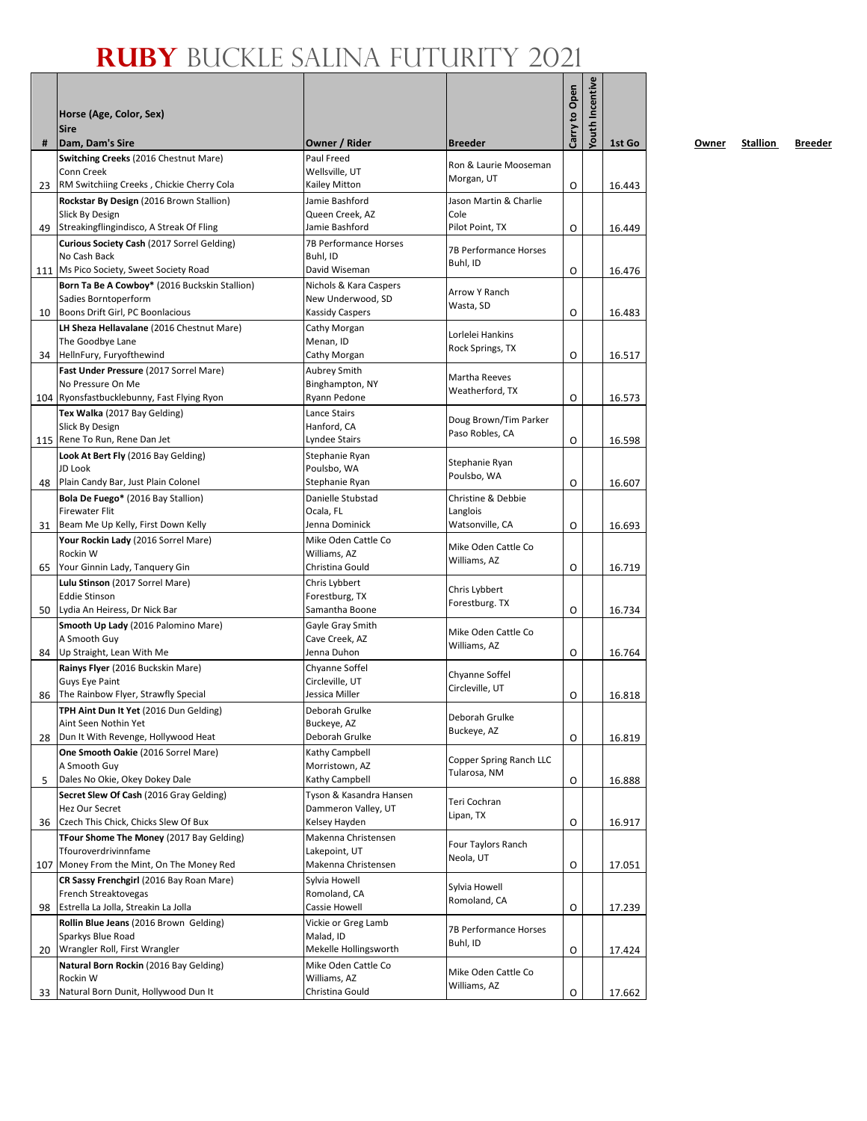|     | Horse (Age, Color, Sex)<br><b>Sire</b>                                                |                                                |                                         | Carry to Open | <b>Youth Incentive</b> |        |
|-----|---------------------------------------------------------------------------------------|------------------------------------------------|-----------------------------------------|---------------|------------------------|--------|
| #   | Dam, Dam's Sire                                                                       | Owner / Rider                                  | <b>Breeder</b>                          |               |                        | 1st Go |
|     | Switching Creeks (2016 Chestnut Mare)                                                 | Paul Freed                                     | Ron & Laurie Mooseman                   |               |                        |        |
|     | Conn Creek                                                                            | Wellsville, UT                                 | Morgan, UT                              |               |                        |        |
| 23  | RM Switchiing Creeks, Chickie Cherry Cola<br>Rockstar By Design (2016 Brown Stallion) | Kailey Mitton<br>Jamie Bashford                | Jason Martin & Charlie                  | O             |                        | 16.443 |
|     | Slick By Design                                                                       | Queen Creek, AZ                                | Cole                                    |               |                        |        |
| 49  | Streakingflingindisco, A Streak Of Fling                                              | Jamie Bashford                                 | Pilot Point, TX                         | O             |                        | 16.449 |
|     | Curious Society Cash (2017 Sorrel Gelding)                                            | 7B Performance Horses                          | 7B Performance Horses                   |               |                        |        |
|     | No Cash Back                                                                          | Buhl, ID                                       | Buhl, ID                                |               |                        |        |
|     | 111 Ms Pico Society, Sweet Society Road                                               | David Wiseman                                  |                                         | O             |                        | 16.476 |
|     | Born Ta Be A Cowboy* (2016 Buckskin Stallion)<br>Sadies Borntoperform                 | Nichols & Kara Caspers<br>New Underwood, SD    | Arrow Y Ranch                           |               |                        |        |
| 10  | Boons Drift Girl, PC Boonlacious                                                      | <b>Kassidy Caspers</b>                         | Wasta, SD                               | O             |                        | 16.483 |
|     | LH Sheza Hellavalane (2016 Chestnut Mare)                                             | Cathy Morgan                                   |                                         |               |                        |        |
|     | The Goodbye Lane                                                                      | Menan, ID                                      | Lorlelei Hankins<br>Rock Springs, TX    |               |                        |        |
| 34  | HellnFury, Furyofthewind                                                              | Cathy Morgan                                   |                                         | O             |                        | 16.517 |
|     | Fast Under Pressure (2017 Sorrel Mare)                                                | <b>Aubrey Smith</b>                            | Martha Reeves                           |               |                        |        |
|     | No Pressure On Me<br>104 Ryonsfastbucklebunny, Fast Flying Ryon                       | Binghampton, NY<br>Ryann Pedone                | Weatherford, TX                         | O             |                        |        |
|     | Tex Walka (2017 Bay Gelding)                                                          | Lance Stairs                                   |                                         |               |                        | 16.573 |
|     | Slick By Design                                                                       | Hanford, CA                                    | Doug Brown/Tim Parker                   |               |                        |        |
|     | 115 Rene To Run, Rene Dan Jet                                                         | <b>Lyndee Stairs</b>                           | Paso Robles, CA                         | O             |                        | 16.598 |
|     | Look At Bert Fly (2016 Bay Gelding)                                                   | Stephanie Ryan                                 | Stephanie Ryan                          |               |                        |        |
|     | JD Look                                                                               | Poulsbo, WA                                    | Poulsbo, WA                             |               |                        |        |
| 48  | Plain Candy Bar, Just Plain Colonel                                                   | Stephanie Ryan                                 |                                         | O             |                        | 16.607 |
|     | Bola De Fuego* (2016 Bay Stallion)<br><b>Firewater Flit</b>                           | Danielle Stubstad<br>Ocala, FL                 | Christine & Debbie<br>Langlois          |               |                        |        |
| 31  | Beam Me Up Kelly, First Down Kelly                                                    | Jenna Dominick                                 | Watsonville, CA                         | O             |                        | 16.693 |
|     | Your Rockin Lady (2016 Sorrel Mare)                                                   | Mike Oden Cattle Co                            |                                         |               |                        |        |
|     | Rockin W                                                                              | Williams, AZ                                   | Mike Oden Cattle Co<br>Williams, AZ     |               |                        |        |
| 65  | Your Ginnin Lady, Tanquery Gin                                                        | Christina Gould                                |                                         | O             |                        | 16.719 |
|     | Lulu Stinson (2017 Sorrel Mare)                                                       | Chris Lybbert                                  | Chris Lybbert                           |               |                        |        |
| 50  | <b>Eddie Stinson</b><br>Lydia An Heiress, Dr Nick Bar                                 | Forestburg, TX<br>Samantha Boone               | Forestburg. TX                          | O             |                        | 16.734 |
|     | Smooth Up Lady (2016 Palomino Mare)                                                   | Gayle Gray Smith                               |                                         |               |                        |        |
|     | A Smooth Guy                                                                          | Cave Creek, AZ                                 | Mike Oden Cattle Co                     |               |                        |        |
| 84  | Up Straight, Lean With Me                                                             | Jenna Duhon                                    | Williams, AZ                            | O             |                        | 16.764 |
|     | Rainys Flyer (2016 Buckskin Mare)                                                     | Chyanne Soffel                                 | Chyanne Soffel                          |               |                        |        |
|     | Guys Eye Paint                                                                        | Circleville, UT                                | Circleville, UT                         |               |                        |        |
| 86  | The Rainbow Flyer, Strawfly Special                                                   | Jessica Miller                                 |                                         | O             |                        | 16.818 |
|     | TPH Aint Dun It Yet (2016 Dun Gelding)<br>Aint Seen Nothin Yet                        | Deborah Grulke<br>Buckeye, AZ                  | Deborah Grulke                          |               |                        |        |
| 28  | Dun It With Revenge, Hollywood Heat                                                   | Deborah Grulke                                 | Buckeye, AZ                             | O             |                        | 16.819 |
|     | One Smooth Oakie (2016 Sorrel Mare)                                                   | Kathy Campbell                                 |                                         |               |                        |        |
|     | A Smooth Guy                                                                          | Morristown, AZ                                 | Copper Spring Ranch LLC<br>Tularosa, NM |               |                        |        |
| 5   | Dales No Okie, Okey Dokey Dale                                                        | Kathy Campbell                                 |                                         | O             |                        | 16.888 |
|     | Secret Slew Of Cash (2016 Gray Gelding)<br>Hez Our Secret                             | Tyson & Kasandra Hansen<br>Dammeron Valley, UT | Teri Cochran                            |               |                        |        |
| 36  | Czech This Chick, Chicks Slew Of Bux                                                  | Kelsey Hayden                                  | Lipan, TX                               | O             |                        | 16.917 |
|     | TFour Shome The Money (2017 Bay Gelding)                                              | Makenna Christensen                            |                                         |               |                        |        |
|     | Tfouroverdrivinnfame                                                                  | Lakepoint, UT                                  | Four Taylors Ranch                      |               |                        |        |
| 107 | Money From the Mint, On The Money Red                                                 | Makenna Christensen                            | Neola, UT                               | O             |                        | 17.051 |
|     | CR Sassy Frenchgirl (2016 Bay Roan Mare)                                              | Sylvia Howell                                  | Sylvia Howell                           |               |                        |        |
| 98  | French Streaktovegas<br>Estrella La Jolla, Streakin La Jolla                          | Romoland, CA<br>Cassie Howell                  | Romoland, CA                            |               |                        |        |
|     | Rollin Blue Jeans (2016 Brown Gelding)                                                | Vickie or Greg Lamb                            |                                         | O             |                        | 17.239 |
|     | Sparkys Blue Road                                                                     | Malad, ID                                      | 7B Performance Horses                   |               |                        |        |
| 20  | Wrangler Roll, First Wrangler                                                         | Mekelle Hollingsworth                          | Buhl, ID                                | O             |                        | 17.424 |
|     | Natural Born Rockin (2016 Bay Gelding)                                                | Mike Oden Cattle Co                            | Mike Oden Cattle Co                     |               |                        |        |
|     | Rockin W                                                                              | Williams, AZ                                   | Williams, AZ                            |               |                        |        |
| 33  | Natural Born Dunit, Hollywood Dun It                                                  | Christina Gould                                |                                         | O             |                        | 17.662 |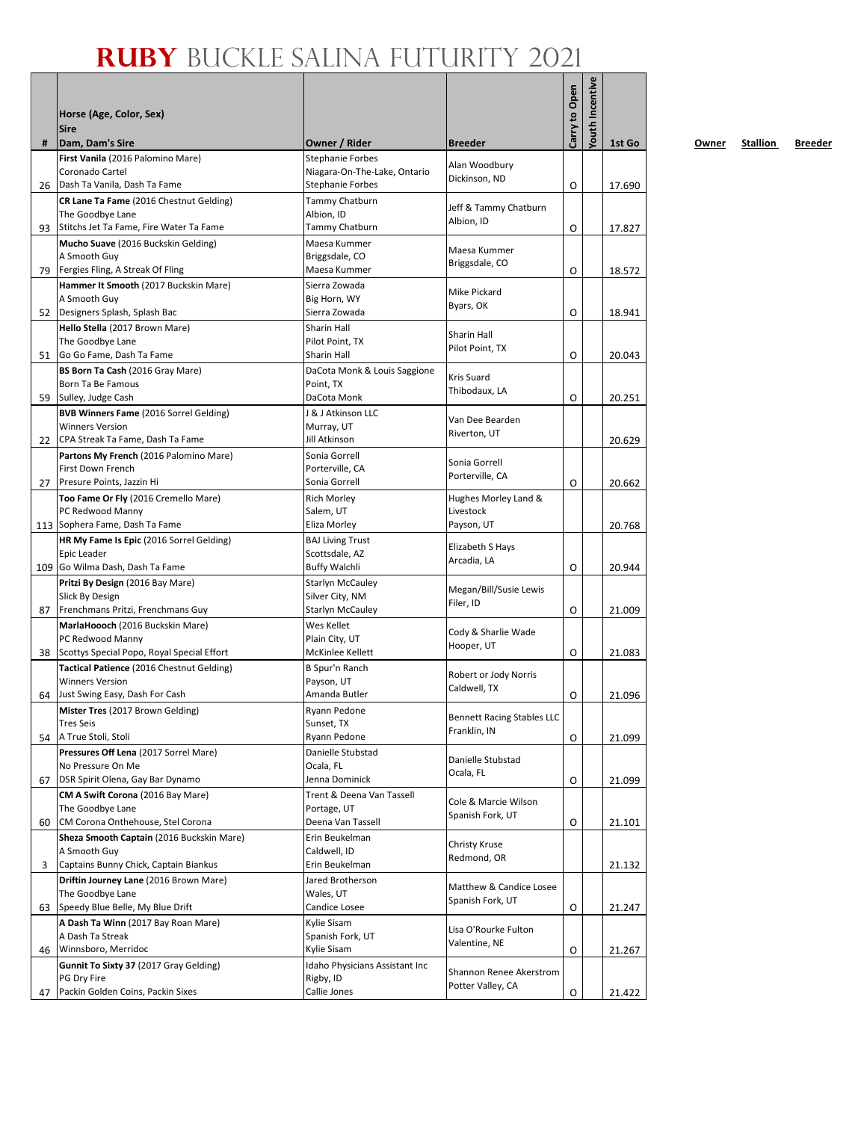|     |                                                                                         |                                             |                                                   | Carry to Open | <b>Youth Incentive</b> |        |
|-----|-----------------------------------------------------------------------------------------|---------------------------------------------|---------------------------------------------------|---------------|------------------------|--------|
|     | Horse (Age, Color, Sex)                                                                 |                                             |                                                   |               |                        |        |
|     | <b>Sire</b>                                                                             |                                             |                                                   |               |                        |        |
| #   | Dam, Dam's Sire<br>First Vanila (2016 Palomino Mare)                                    | Owner / Rider<br><b>Stephanie Forbes</b>    | <b>Breeder</b>                                    |               |                        | 1st Go |
|     | Coronado Cartel                                                                         | Niagara-On-The-Lake, Ontario                | Alan Woodbury                                     |               |                        |        |
| 26  | Dash Ta Vanila, Dash Ta Fame                                                            | <b>Stephanie Forbes</b>                     | Dickinson, ND                                     | O             |                        | 17.690 |
|     | CR Lane Ta Fame (2016 Chestnut Gelding)                                                 | Tammy Chatburn                              | Jeff & Tammy Chatburn                             |               |                        |        |
|     | The Goodbye Lane                                                                        | Albion, ID                                  | Albion, ID                                        |               |                        |        |
| 93  | Stitchs Jet Ta Fame, Fire Water Ta Fame                                                 | Tammy Chatburn                              |                                                   | O             |                        | 17.827 |
|     | Mucho Suave (2016 Buckskin Gelding)<br>A Smooth Guy                                     | Maesa Kummer<br>Briggsdale, CO              | Maesa Kummer                                      |               |                        |        |
| 79  | Fergies Fling, A Streak Of Fling                                                        | Maesa Kummer                                | Briggsdale, CO                                    | O             |                        | 18.572 |
|     | Hammer It Smooth (2017 Buckskin Mare)                                                   | Sierra Zowada                               |                                                   |               |                        |        |
|     | A Smooth Guy                                                                            | Big Horn, WY                                | Mike Pickard<br>Byars, OK                         |               |                        |        |
| 52  | Designers Splash, Splash Bac                                                            | Sierra Zowada                               |                                                   | O             |                        | 18.941 |
|     | Hello Stella (2017 Brown Mare)                                                          | Sharin Hall                                 | <b>Sharin Hall</b>                                |               |                        |        |
| 51  | The Goodbye Lane<br>Go Go Fame, Dash Ta Fame                                            | Pilot Point, TX<br>Sharin Hall              | Pilot Point, TX                                   | O             |                        | 20.043 |
|     | BS Born Ta Cash (2016 Gray Mare)                                                        | DaCota Monk & Louis Saggione                |                                                   |               |                        |        |
|     | Born Ta Be Famous                                                                       | Point, TX                                   | Kris Suard                                        |               |                        |        |
| 59  | Sulley, Judge Cash                                                                      | DaCota Monk                                 | Thibodaux, LA                                     | O             |                        | 20.251 |
|     | <b>BVB Winners Fame (2016 Sorrel Gelding)</b>                                           | J & J Atkinson LLC                          | Van Dee Bearden                                   |               |                        |        |
|     | <b>Winners Version</b>                                                                  | Murray, UT                                  | Riverton, UT                                      |               |                        |        |
| 22  | CPA Streak Ta Fame, Dash Ta Fame                                                        | Jill Atkinson                               |                                                   |               |                        | 20.629 |
|     | Partons My French (2016 Palomino Mare)<br><b>First Down French</b>                      | Sonia Gorrell<br>Porterville, CA            | Sonia Gorrell                                     |               |                        |        |
| 27  | Presure Points, Jazzin Hi                                                               | Sonia Gorrell                               | Porterville, CA                                   | O             |                        | 20.662 |
|     | Too Fame Or Fly (2016 Cremello Mare)                                                    | <b>Rich Morley</b>                          | Hughes Morley Land &                              |               |                        |        |
|     | PC Redwood Manny                                                                        | Salem, UT                                   | Livestock                                         |               |                        |        |
|     | 113 Sophera Fame, Dash Ta Fame                                                          | Eliza Morley                                | Payson, UT                                        |               |                        | 20.768 |
|     | HR My Fame Is Epic (2016 Sorrel Gelding)                                                | <b>BAJ Living Trust</b>                     | Elizabeth S Hays                                  |               |                        |        |
| 109 | Epic Leader<br>Go Wilma Dash, Dash Ta Fame                                              | Scottsdale, AZ<br><b>Buffy Walchli</b>      | Arcadia, LA                                       | O             |                        | 20.944 |
|     | Pritzi By Design (2016 Bay Mare)                                                        | <b>Starlyn McCauley</b>                     |                                                   |               |                        |        |
|     | Slick By Design                                                                         | Silver City, NM                             | Megan/Bill/Susie Lewis                            |               |                        |        |
| 87  | Frenchmans Pritzi, Frenchmans Guy                                                       | <b>Starlyn McCauley</b>                     | Filer, ID                                         | O             |                        | 21.009 |
|     | MarlaHoooch (2016 Buckskin Mare)                                                        | Wes Kellet                                  | Cody & Sharlie Wade                               |               |                        |        |
|     | PC Redwood Manny                                                                        | Plain City, UT                              | Hooper, UT                                        |               |                        |        |
| 38  | Scottys Special Popo, Royal Special Effort<br>Tactical Patience (2016 Chestnut Gelding) | McKinlee Kellett<br><b>B Spur'n Ranch</b>   |                                                   | O             |                        | 21.083 |
|     | <b>Winners Version</b>                                                                  | Payson, UT                                  | Robert or Jody Norris                             |               |                        |        |
| 64  | Just Swing Easy, Dash For Cash                                                          | Amanda Butler                               | Caldwell, TX                                      | O             |                        | 21.096 |
|     | Mister Tres (2017 Brown Gelding)                                                        | Ryann Pedone                                |                                                   |               |                        |        |
|     | <b>Tres Seis</b>                                                                        | Sunset, TX                                  | <b>Bennett Racing Stables LLC</b><br>Franklin, IN |               |                        |        |
| 54  | A True Stoli, Stoli                                                                     | Ryann Pedone                                |                                                   | O             |                        | 21.099 |
|     | Pressures Off Lena (2017 Sorrel Mare)<br>No Pressure On Me                              | Danielle Stubstad<br>Ocala, FL              | Danielle Stubstad                                 |               |                        |        |
| 67  | DSR Spirit Olena, Gay Bar Dynamo                                                        | Jenna Dominick                              | Ocala, FL                                         | O             |                        | 21.099 |
|     | CM A Swift Corona (2016 Bay Mare)                                                       | Trent & Deena Van Tassell                   |                                                   |               |                        |        |
|     | The Goodbye Lane                                                                        | Portage, UT                                 | Cole & Marcie Wilson                              |               |                        |        |
| 60  | CM Corona Onthehouse, Stel Corona                                                       | Deena Van Tassell                           | Spanish Fork, UT                                  | O             |                        | 21.101 |
|     | Sheza Smooth Captain (2016 Buckskin Mare)                                               | Erin Beukelman                              | Christy Kruse                                     |               |                        |        |
|     | A Smooth Guy<br>Captains Bunny Chick, Captain Biankus                                   | Caldwell, ID<br>Erin Beukelman              | Redmond, OR                                       |               |                        |        |
| 3   | Driftin Journey Lane (2016 Brown Mare)                                                  | Jared Brotherson                            |                                                   |               |                        | 21.132 |
|     | The Goodbye Lane                                                                        | Wales, UT                                   | Matthew & Candice Losee                           |               |                        |        |
| 63  | Speedy Blue Belle, My Blue Drift                                                        | Candice Losee                               | Spanish Fork, UT                                  | O             |                        | 21.247 |
|     | A Dash Ta Winn (2017 Bay Roan Mare)                                                     | Kylie Sisam                                 | Lisa O'Rourke Fulton                              |               |                        |        |
|     | A Dash Ta Streak                                                                        | Spanish Fork, UT                            | Valentine, NE                                     |               |                        |        |
| 46  | Winnsboro, Merridoc                                                                     | Kylie Sisam                                 |                                                   | O             |                        | 21.267 |
|     | Gunnit To Sixty 37 (2017 Gray Gelding)<br>PG Dry Fire                                   | Idaho Physicians Assistant Inc<br>Rigby, ID | Shannon Renee Akerstrom                           |               |                        |        |
| 47  | Packin Golden Coins, Packin Sixes                                                       | Callie Jones                                | Potter Valley, CA                                 | O             |                        | 21.422 |
|     |                                                                                         |                                             |                                                   |               |                        |        |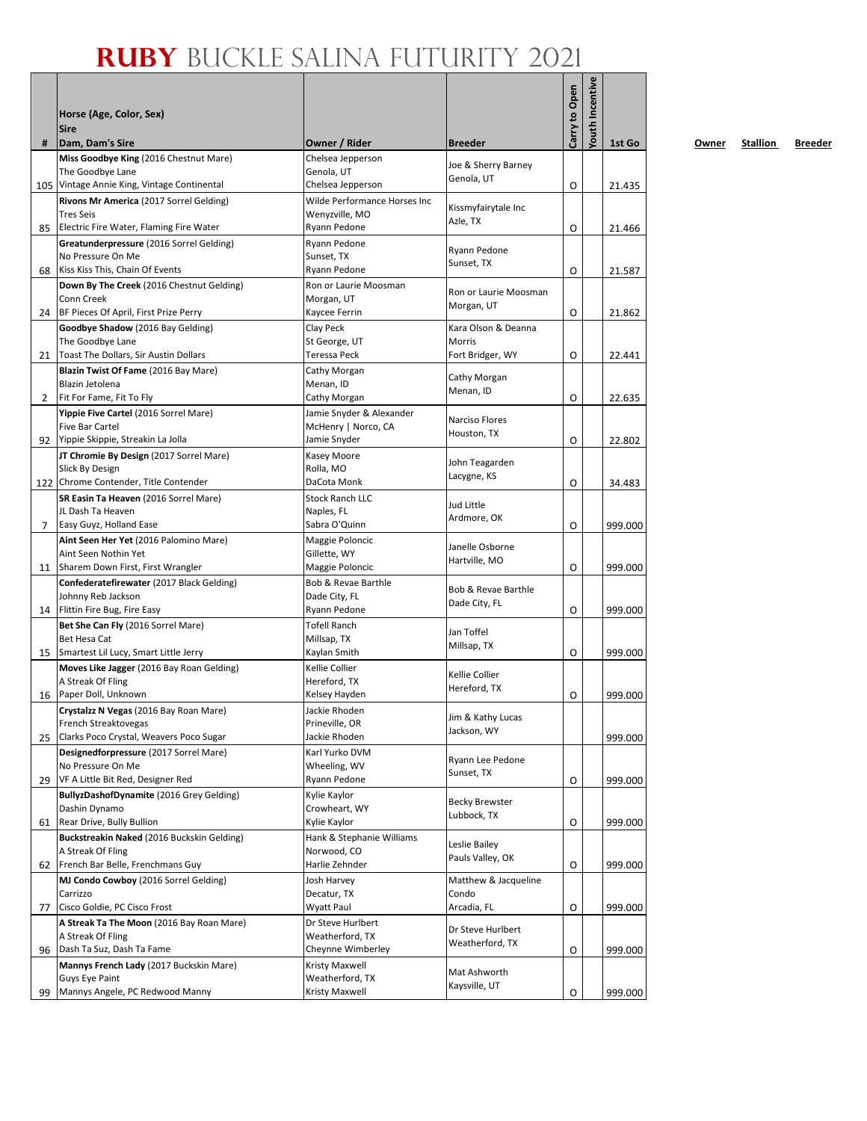|    | Horse (Age, Color, Sex)<br><b>Sire</b>                                                                     |                                                                     |                                     | Carry to Open | <b>Youth Incentive</b> |         |
|----|------------------------------------------------------------------------------------------------------------|---------------------------------------------------------------------|-------------------------------------|---------------|------------------------|---------|
| #  | Dam, Dam's Sire                                                                                            | Owner / Rider                                                       | <b>Breeder</b>                      |               |                        | 1st Go  |
|    | Miss Goodbye King (2016 Chestnut Mare)<br>The Goodbye Lane                                                 | Chelsea Jepperson<br>Genola, UT                                     | Joe & Sherry Barney<br>Genola, UT   |               |                        |         |
|    | 105 Vintage Annie King, Vintage Continental<br>Rivons Mr America (2017 Sorrel Gelding)<br><b>Tres Seis</b> | Chelsea Jepperson<br>Wilde Performance Horses Inc<br>Wenyzville, MO | Kissmyfairytale Inc<br>Azle, TX     | O             |                        | 21.435  |
| 85 | Electric Fire Water, Flaming Fire Water                                                                    | Ryann Pedone                                                        |                                     | O             |                        | 21.466  |
| 68 | Greatunderpressure (2016 Sorrel Gelding)<br>No Pressure On Me<br>Kiss Kiss This, Chain Of Events           | Ryann Pedone<br>Sunset, TX<br>Ryann Pedone                          | Ryann Pedone<br>Sunset, TX          | O             |                        | 21.587  |
| 24 | Down By The Creek (2016 Chestnut Gelding)<br>Conn Creek<br>BF Pieces Of April, First Prize Perry           | Ron or Laurie Moosman<br>Morgan, UT<br>Kaycee Ferrin                | Ron or Laurie Moosman<br>Morgan, UT | O             |                        | 21.862  |
|    | Goodbye Shadow (2016 Bay Gelding)                                                                          | Clay Peck                                                           | Kara Olson & Deanna                 |               |                        |         |
|    | The Goodbye Lane                                                                                           | St George, UT                                                       | Morris                              |               |                        |         |
| 21 | Toast The Dollars, Sir Austin Dollars                                                                      | Teressa Peck                                                        | Fort Bridger, WY                    | O             |                        | 22.441  |
|    | Blazin Twist Of Fame (2016 Bay Mare)<br>Blazin Jetolena                                                    | Cathy Morgan<br>Menan, ID                                           | Cathy Morgan<br>Menan, ID           |               |                        |         |
| 2  | Fit For Fame, Fit To Fly                                                                                   | Cathy Morgan                                                        |                                     | O             |                        | 22.635  |
| 92 | Yippie Five Cartel (2016 Sorrel Mare)<br><b>Five Bar Cartel</b><br>Yippie Skippie, Streakin La Jolla       | Jamie Snyder & Alexander<br>McHenry   Norco, CA<br>Jamie Snyder     | Narciso Flores<br>Houston, TX       | O             |                        | 22.802  |
|    | JT Chromie By Design (2017 Sorrel Mare)                                                                    | Kasey Moore                                                         |                                     |               |                        |         |
|    | Slick By Design                                                                                            | Rolla, MO                                                           | John Teagarden<br>Lacygne, KS       |               |                        |         |
|    | 122 Chrome Contender, Title Contender                                                                      | DaCota Monk                                                         |                                     | O             |                        | 34.483  |
|    | SR Easin Ta Heaven (2016 Sorrel Mare)<br>JL Dash Ta Heaven                                                 | <b>Stock Ranch LLC</b><br>Naples, FL                                | Jud Little                          |               |                        |         |
| 7  | Easy Guyz, Holland Ease                                                                                    | Sabra O'Quinn                                                       | Ardmore, OK                         | O             |                        | 999.000 |
|    | Aint Seen Her Yet (2016 Palomino Mare)                                                                     | Maggie Poloncic                                                     |                                     |               |                        |         |
|    | Aint Seen Nothin Yet                                                                                       | Gillette, WY                                                        | Janelle Osborne<br>Hartville, MO    |               |                        |         |
| 11 | Sharem Down First, First Wrangler                                                                          | Maggie Poloncic                                                     |                                     | O             |                        | 999.000 |
|    | Confederatefirewater (2017 Black Gelding)<br>Johnny Reb Jackson                                            | Bob & Revae Barthle<br>Dade City, FL                                | Bob & Revae Barthle                 |               |                        |         |
| 14 | Flittin Fire Bug, Fire Easy                                                                                | Ryann Pedone                                                        | Dade City, FL                       | O             |                        | 999.000 |
|    | Bet She Can Fly (2016 Sorrel Mare)                                                                         | <b>Tofell Ranch</b>                                                 | Jan Toffel                          |               |                        |         |
|    | <b>Bet Hesa Cat</b>                                                                                        | Millsap, TX                                                         | Millsap, TX                         |               |                        |         |
| 15 | Smartest Lil Lucy, Smart Little Jerry                                                                      | Kaylan Smith<br>Kellie Collier                                      |                                     | O             |                        | 999.000 |
|    | Moves Like Jagger (2016 Bay Roan Gelding)<br>A Streak Of Fling                                             | Hereford, TX                                                        | Kellie Collier                      |               |                        |         |
| 16 | Paper Doll, Unknown                                                                                        | Kelsey Hayden                                                       | Hereford, TX                        | O             |                        | 999.000 |
|    | Crystalzz N Vegas (2016 Bay Roan Mare)                                                                     | Jackie Rhoden                                                       | Jim & Kathy Lucas                   |               |                        |         |
|    | French Streaktovegas                                                                                       | Prineville, OR                                                      | Jackson, WY                         |               |                        |         |
| 25 | Clarks Poco Crystal, Weavers Poco Sugar<br>Designedforpressure (2017 Sorrel Mare)                          | Jackie Rhoden<br>Karl Yurko DVM                                     |                                     |               |                        | 999.000 |
|    | No Pressure On Me                                                                                          | Wheeling, WV                                                        | Ryann Lee Pedone                    |               |                        |         |
| 29 | VF A Little Bit Red, Designer Red                                                                          | Ryann Pedone                                                        | Sunset, TX                          | O             |                        | 999.000 |
|    | BullyzDashofDynamite (2016 Grey Gelding)<br>Dashin Dynamo                                                  | Kylie Kaylor<br>Crowheart, WY                                       | <b>Becky Brewster</b>               |               |                        |         |
| 61 | Rear Drive, Bully Bullion                                                                                  | Kylie Kaylor                                                        | Lubbock, TX                         | O             |                        | 999.000 |
|    | Buckstreakin Naked (2016 Buckskin Gelding)                                                                 | Hank & Stephanie Williams                                           |                                     |               |                        |         |
|    | A Streak Of Fling                                                                                          | Norwood, CO                                                         | Leslie Bailey<br>Pauls Valley, OK   |               |                        |         |
| 62 | French Bar Belle, Frenchmans Guy                                                                           | Harlie Zehnder                                                      |                                     | O             |                        | 999.000 |
|    | MJ Condo Cowboy (2016 Sorrel Gelding)                                                                      | Josh Harvey                                                         | Matthew & Jacqueline                |               |                        |         |
| 77 | Carrizzo<br>Cisco Goldie, PC Cisco Frost                                                                   | Decatur, TX<br><b>Wyatt Paul</b>                                    | Condo<br>Arcadia, FL                | O             |                        | 999.000 |
|    | A Streak Ta The Moon (2016 Bay Roan Mare)                                                                  | Dr Steve Hurlbert                                                   |                                     |               |                        |         |
|    | A Streak Of Fling                                                                                          | Weatherford, TX                                                     | Dr Steve Hurlbert                   |               |                        |         |
| 96 | Dash Ta Suz, Dash Ta Fame                                                                                  | Cheynne Wimberley                                                   | Weatherford, TX                     | O             |                        | 999.000 |
|    | Mannys French Lady (2017 Buckskin Mare)                                                                    | Kristy Maxwell                                                      | Mat Ashworth                        |               |                        |         |
| 99 | Guys Eye Paint<br>Mannys Angele, PC Redwood Manny                                                          | Weatherford, TX<br>Kristy Maxwell                                   | Kaysville, UT                       | O             |                        | 999.000 |
|    |                                                                                                            |                                                                     |                                     |               |                        |         |